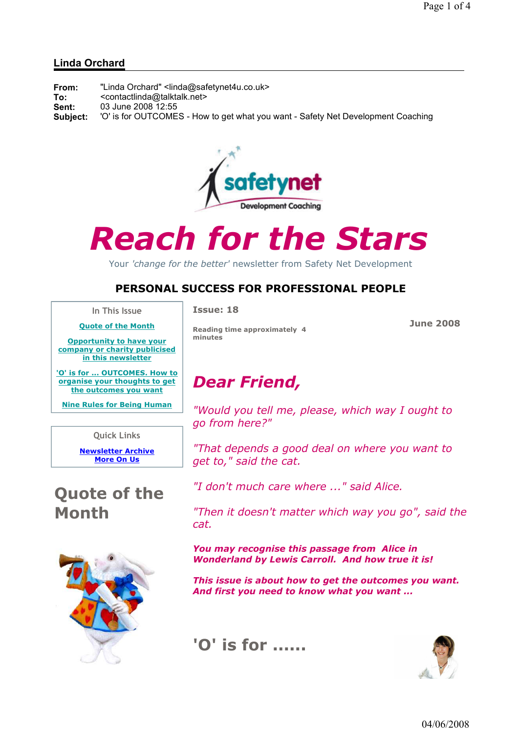#### Linda Orchard

| From:    | "Linda Orchard" <linda@safetynet4u.co.uk></linda@safetynet4u.co.uk>              |
|----------|----------------------------------------------------------------------------------|
| To:      | <contactlinda@talktalk.net></contactlinda@talktalk.net>                          |
| Sent:    | 03 June 2008 12:55                                                               |
| Subject: | 'O' is for OUTCOMES - How to get what you want - Safety Net Development Coaching |



# Reach for the Stars

Your 'change for the better' newsletter from Safety Net Development

#### PERSONAL SUCCESS FOR PROFESSIONAL PEOPLE

In This Issue Quote of the Month Issue: 18

June 2008

Opportunity to have your company or charity publicised in this newsletter

'O' is for ... OUTCOMES. How to organise your thoughts to get the outcomes you want

Nine Rules for Being Human

Quick Links

Newsletter Archive More On Us

## Quote of the Month



Reading time approximately 4 minutes

## Dear Friend,

"Would you tell me, please, which way I ought to go from here?"

"That depends a good deal on where you want to get to," said the cat.

"I don't much care where ..." said Alice.

"Then it doesn't matter which way you go", said the cat.

You may recognise this passage from Alice in Wonderland by Lewis Carroll. And how true it is!

This issue is about how to get the outcomes you want. And first you need to know what you want ...





04/06/2008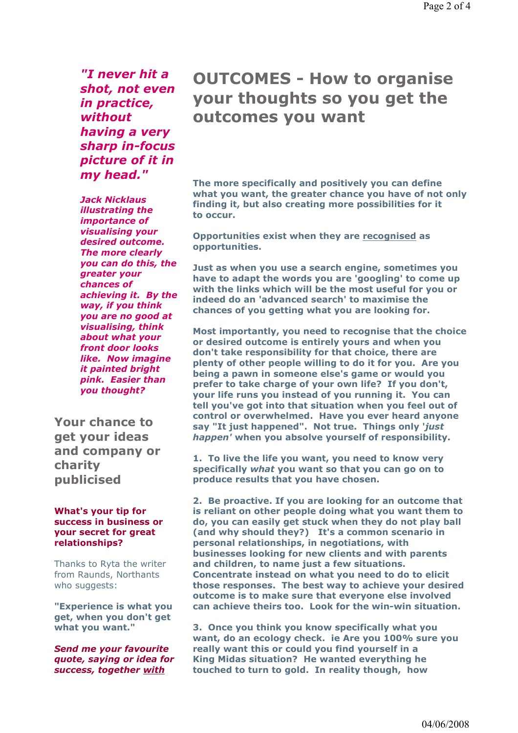"I never hit a shot, not even in practice, without having a very sharp in-focus picture of it in my head."

Jack Nicklaus illustrating the importance of visualising your desired outcome. The more clearly you can do this, the greater your chances of achieving it. By the way, if you think you are no good at visualising, think about what your front door looks like. Now imagine it painted bright pink. Easier than you thought?

Your chance to get your ideas and company or charity publicised

#### What's your tip for success in business or your secret for great relationships?

Thanks to Ryta the writer from Raunds, Northants who suggests:

"Experience is what you get, when you don't get what you want."

Send me your favourite quote, saying or idea for success, together with

### OUTCOMES - How to organise your thoughts so you get the outcomes you want

The more specifically and positively you can define what you want, the greater chance you have of not only finding it, but also creating more possibilities for it to occur.

Opportunities exist when they are recognised as opportunities.

Just as when you use a search engine, sometimes you have to adapt the words you are 'googling' to come up with the links which will be the most useful for you or indeed do an 'advanced search' to maximise the chances of you getting what you are looking for.

Most importantly, you need to recognise that the choice or desired outcome is entirely yours and when you don't take responsibility for that choice, there are plenty of other people willing to do it for you. Are you being a pawn in someone else's game or would you prefer to take charge of your own life? If you don't, your life runs you instead of you running it. You can tell you've got into that situation when you feel out of control or overwhelmed. Have you ever heard anyone say "It just happened". Not true. Things only 'just happen' when you absolve yourself of responsibility.

1. To live the life you want, you need to know very specifically what you want so that you can go on to produce results that you have chosen.

2. Be proactive. If you are looking for an outcome that is reliant on other people doing what you want them to do, you can easily get stuck when they do not play ball (and why should they?) It's a common scenario in personal relationships, in negotiations, with businesses looking for new clients and with parents and children, to name just a few situations. Concentrate instead on what you need to do to elicit those responses. The best way to achieve your desired outcome is to make sure that everyone else involved can achieve theirs too. Look for the win-win situation.

3. Once you think you know specifically what you want, do an ecology check. ie Are you 100% sure you really want this or could you find yourself in a King Midas situation? He wanted everything he touched to turn to gold. In reality though, how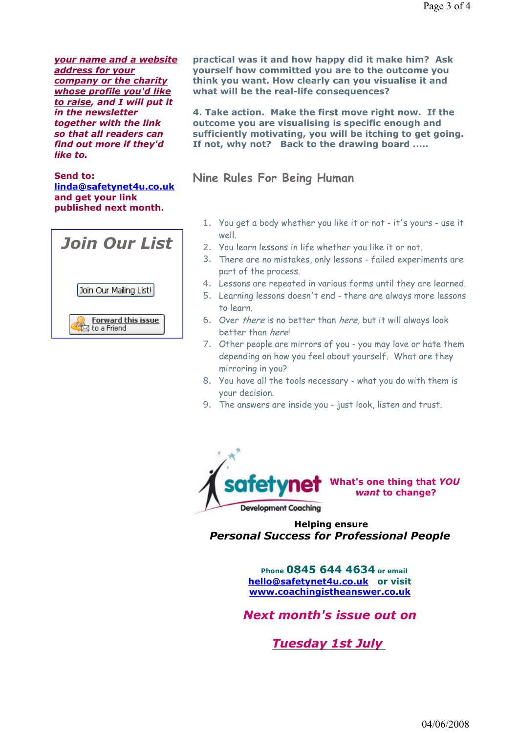your name and a website address for your company or the charity whose profile you'd like to raise, and I will put it in the newsletter together with the link so that all readers can find out more if they'd like to.

Send to: linda@safetynet4u.co.uk and get your link published next month.



practical was it and how happy did it make him? Ask yourself how committed you are to the outcome you think you want. How clearly can you visualise it and what will be the real-life consequences?

4. Take action. Make the first move right now. If the outcome you are visualising is specific enough and sufficiently motivating, you will be itching to get going. If not, why not? Back to the drawing board .....

Nine Rules For Being Human

- 1. You get a body whether you like it or not it's yours use it well.
- 2. You learn lessons in life whether you like it or not.
- 3. There are no mistakes, only lessons failed experiments are part of the process.
- 4. Lessons are repeated in various forms until they are learned.
- 5. Learning lessons doesn't end there are always more lessons to learn.
- 6. Over there is no better than here, but it will always look better than here!
- 7. Other people are mirrors of you you may love or hate them depending on how you feel about yourself. What are they mirroring in you?
- 8. You have all the tools necessary what you do with them is your decision.
- 9. The answers are inside you just look, listen and trust.



 Helping ensure Personal Success for Professional People

> Phone 0845 644 4634 or email hello@safetynet4u.co.uk or visit www.coachingistheanswer.co.uk

Next month's issue out on

Tuesday 1st July